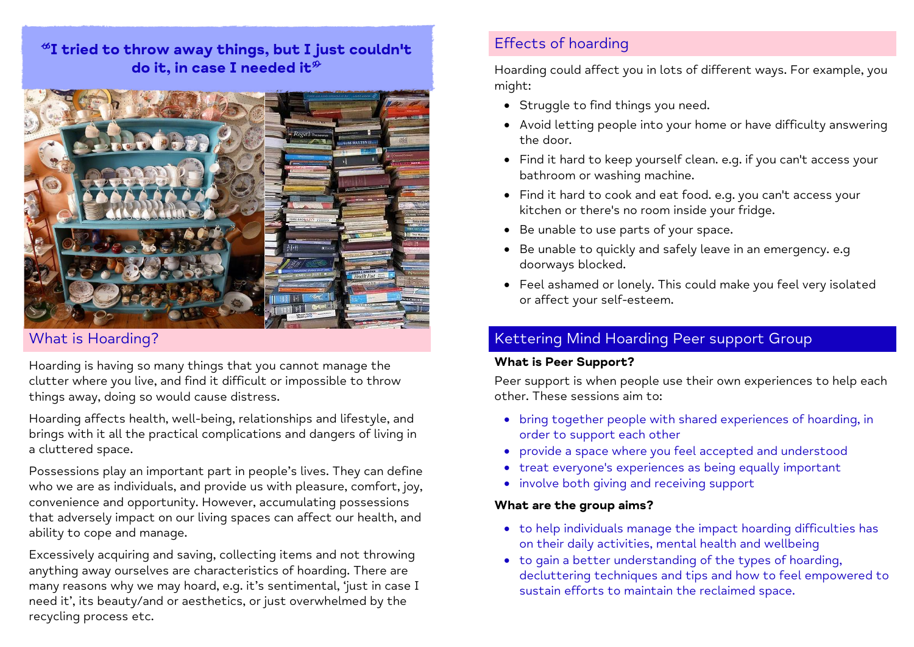# $*$ I tried to throw away things, but I just couldn't do it, in case I needed it  $\mathcal P$



## What is Hoarding?

Hoarding is having so many things that you cannot manage the clutter where you live, and find it difficult or impossible to throw things away, doing so would cause distress.

Hoarding affects health, well-being, relationships and lifestyle, and brings with it all the practical complications and dangers of living in a cluttered space.

Possessions play an important part in people's lives. They can define who we are as individuals, and provide us with pleasure, comfort, joy, convenience and opportunity. However, accumulating possessions that adversely impact on our living spaces can affect our health, and ability to cope and manage.

Excessively acquiring and saving, collecting items and not throwing anything away ourselves are characteristics of hoarding. There are many reasons why we may hoard, e.g. it's sentimental, 'just in case I need it', its beauty/and or aesthetics, or just overwhelmed by the recycling process etc.

# Effects of hoarding

Hoarding could affect you in lots of different ways. For example, you might:

- Struggle to find things you need.
- Avoid letting people into your home or have difficulty answering the door.
- Find it hard to keep yourself clean. e.g. if you can't access your bathroom or washing machine.
- Find it hard to cook and eat food. e.g. you can't access your kitchen or there's no room inside your fridge.
- Be unable to use parts of your space.
- Be unable to quickly and safely leave in an emergency. e.g doorways blocked.
- Feel ashamed or lonely. This could make you feel very isolated or affect your self-esteem.

# Kettering Mind Hoarding Peer support Group

#### **What is Peer Support?**

Peer support is when people use their own experiences to help each other. These sessions aim to:

- bring together people with shared experiences of hoarding, in order to support each other
- provide a space where you feel accepted and understood
- treat everyone's experiences as being equally important
- involve both giving and receiving support

#### **What are the group aims?**

- to help individuals manage the impact hoarding difficulties has on their daily activities, mental health and wellbeing
- to gain a better understanding of the types of hoarding, decluttering techniques and tips and how to feel empowered to sustain efforts to maintain the reclaimed space.